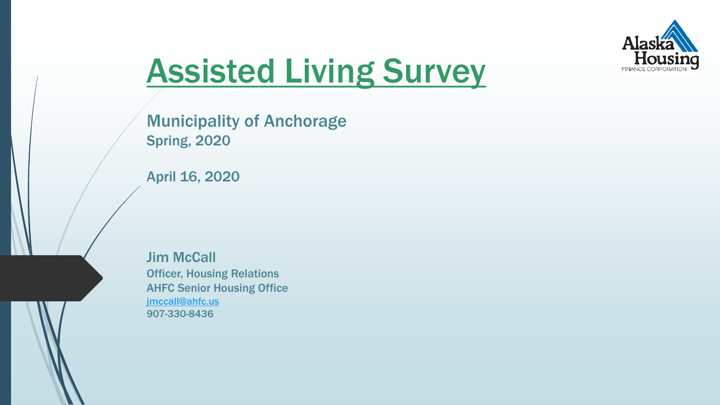

# Assisted Living Survey

Municipality of Anchorage Spring, 2020

April 16, 2020

Jim McCall Officer, Housing Relations AHFC Senior Housing Office [jmccall@ahfc.us](mailto:jmccall@ahfc.us) 907-330-8436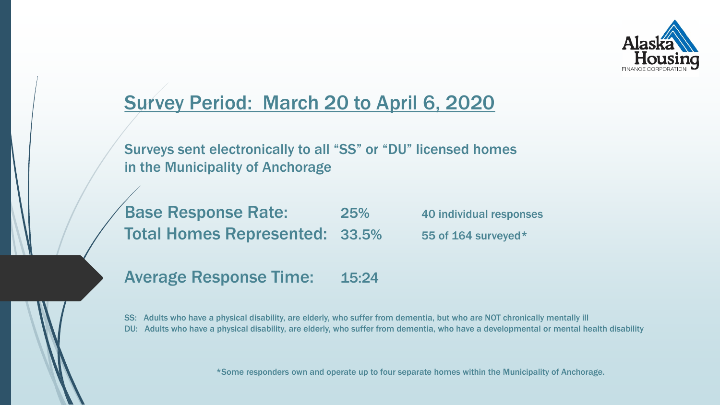

# Survey Period: March 20 to April 6, 2020

Surveys sent electronically to all "SS" or "DU" licensed homes in the Municipality of Anchorage

Base Response Rate: 25% 40 individual responses Total Homes Represented: 33.5% 55 of 164 surveyed\*

Average Response Time: 15:24

SS: Adults who have a physical disability, are elderly, who suffer from dementia, but who are NOT chronically mentally ill DU: Adults who have a physical disability, are elderly, who suffer from dementia, who have a developmental or mental health disability

\*Some responders own and operate up to four separate homes within the Municipality of Anchorage.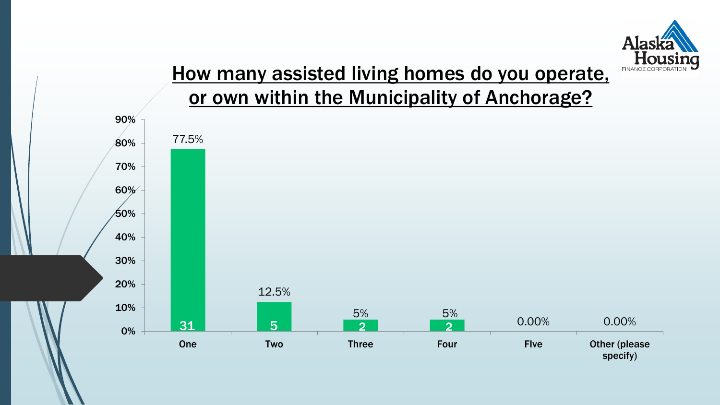

# How many assisted living homes do you operate, or own within the Municipality of Anchorage?

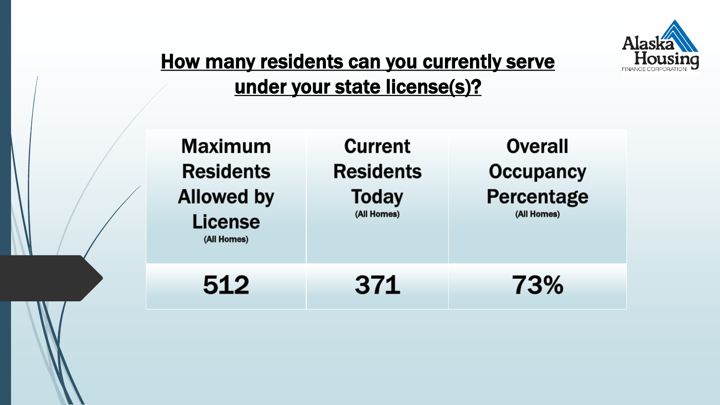

# How many residents can you currently serve under your state license(s)?

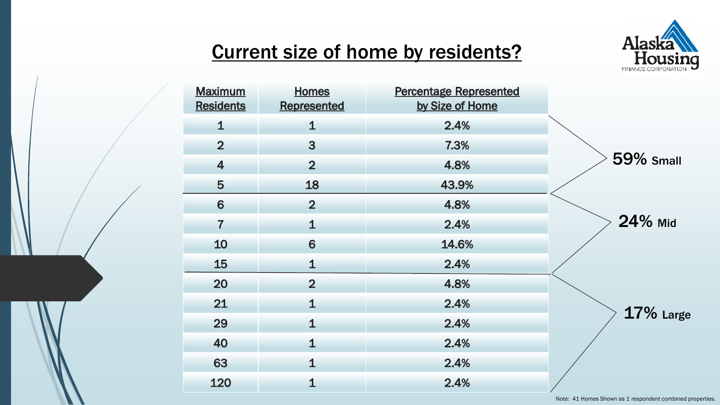

# Current size of home by residents?

| <b>Maximum</b><br><b>Residents</b> | <b>Homes</b><br>Represented | <b>Percentage Represented</b><br>by Size of Home |                  |
|------------------------------------|-----------------------------|--------------------------------------------------|------------------|
| $\mathbf 1$                        | $\mathbf 1$                 | 2.4%                                             |                  |
| $\overline{2}$                     | 3                           | 7.3%                                             |                  |
| $\overline{4}$                     | $\overline{2}$              | 4.8%                                             | <b>59% Small</b> |
| 5                                  | 18                          | 43.9%                                            |                  |
| 6                                  | $\overline{2}$              | 4.8%                                             |                  |
| $\overline{7}$                     | $\mathbf 1$                 | 2.4%                                             | 24% Mid          |
| 10                                 | 6                           | 14.6%                                            |                  |
| 15                                 | $\mathbf{1}$                | 2.4%                                             |                  |
| 20                                 | $\overline{2}$              | 4.8%                                             |                  |
| 21                                 | $\mathbf 1$                 | 2.4%                                             |                  |
| 29                                 | $\mathbf 1$                 | 2.4%                                             | 17% Large        |
| 40                                 | $\mathbf 1$                 | 2.4%                                             |                  |
| 63                                 | $\mathbf 1$                 | 2.4%                                             |                  |
| 120                                | $\mathbf{1}$                | 2.4%                                             |                  |

Note: 41 Homes Shown as 1 respondent combined properties.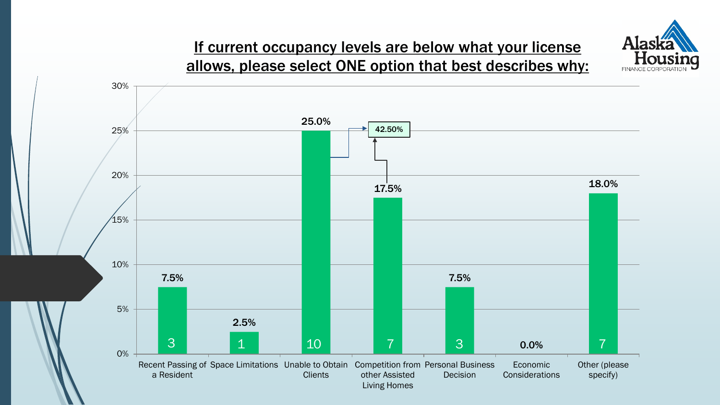

#### If current occupancy levels are below what your license allows, please select ONE option that best describes why:

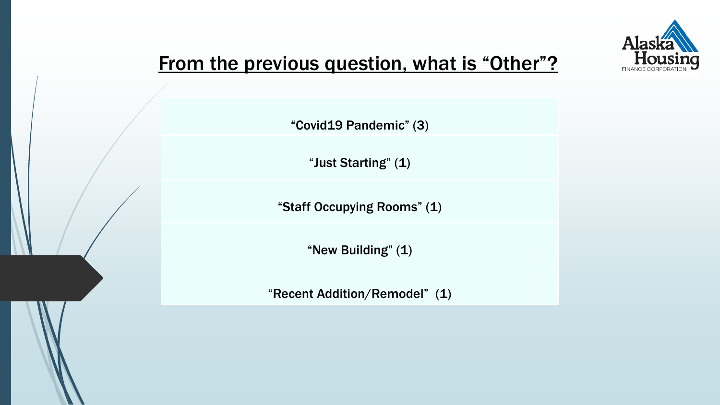

# From the previous question, what is "Other"?

"Covid19 Pandemic" (3)

"Just Starting" (1)

"Staff Occupying Rooms" (1)

"New Building" (1)

"Recent Addition/Remodel" (1)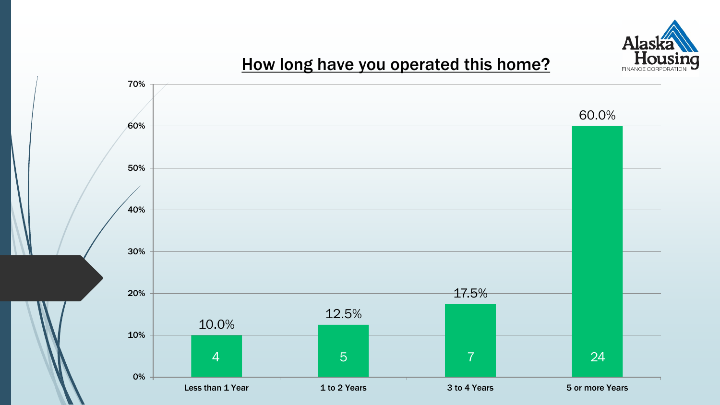

### How long have you operated this home?

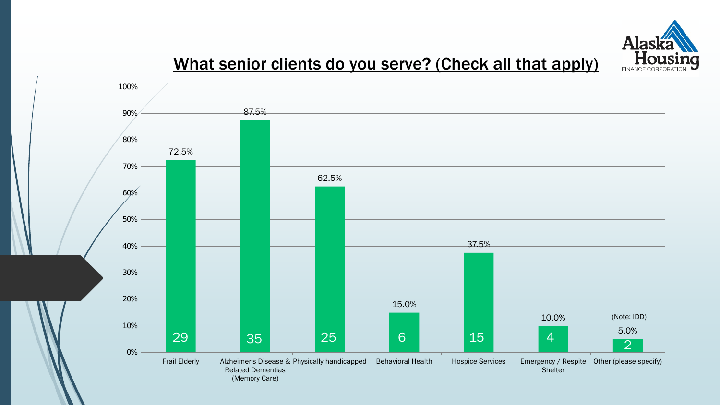

### What senior clients do you serve? (Check all that apply)

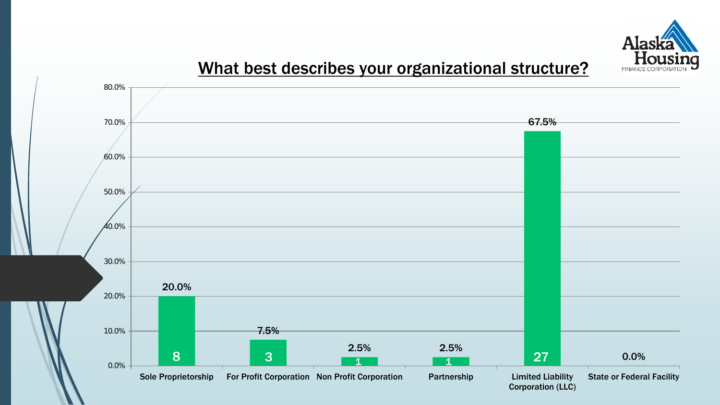

#### What best describes your organizational structure?

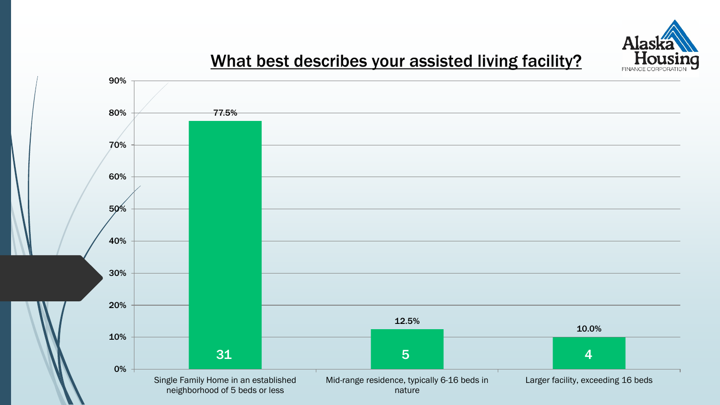

### What best describes your assisted living facility?

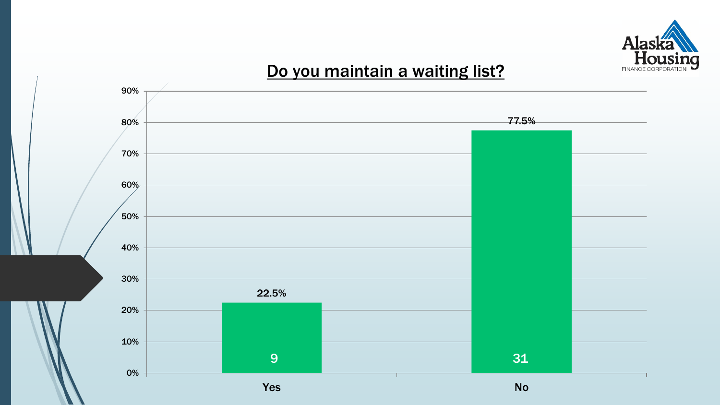

### Do you maintain a waiting list?

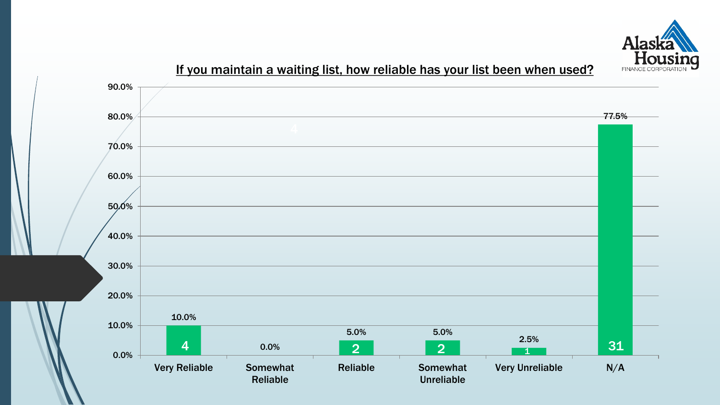

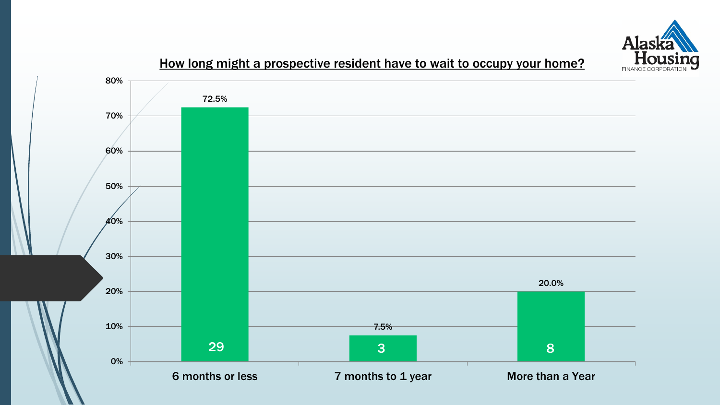

#### How long might a prospective resident have to wait to occupy your home?

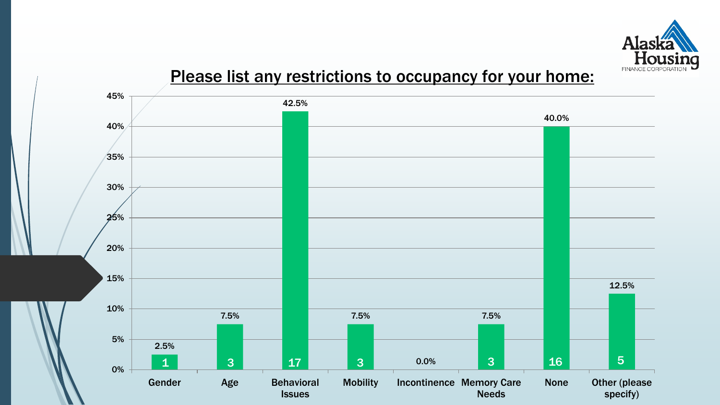

#### Please list any restrictions to occupancy for your home:

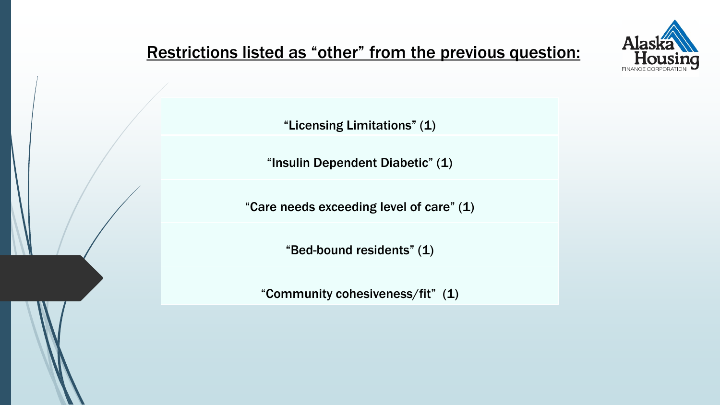

### Restrictions listed as "other" from the previous question:

"Licensing Limitations" (1)

"Insulin Dependent Diabetic" (1)

"Care needs exceeding level of care" (1)

"Bed-bound residents" (1)

"Community cohesiveness/fit" (1)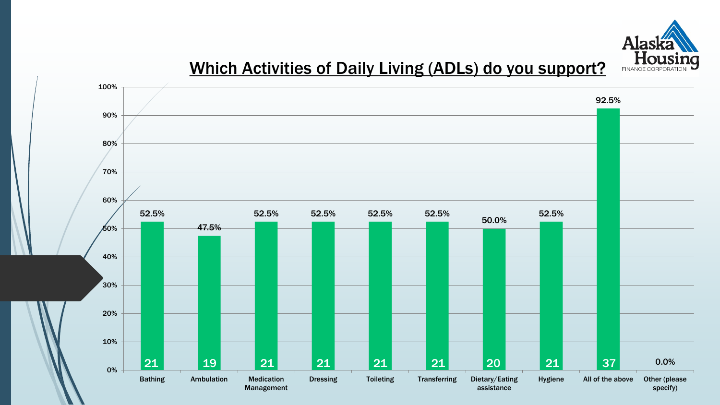

### Which Activities of Daily Living (ADLs) do you support?

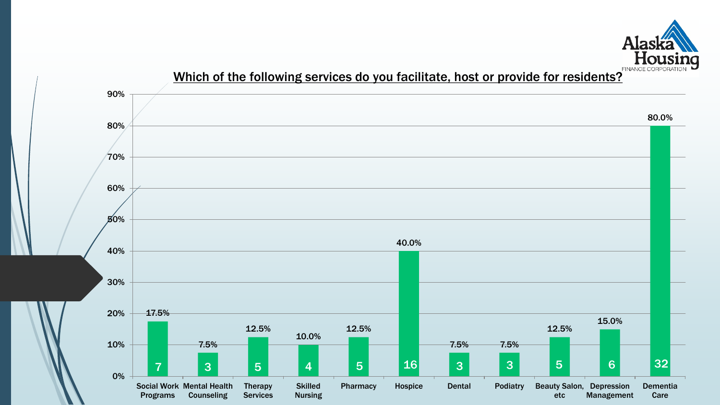

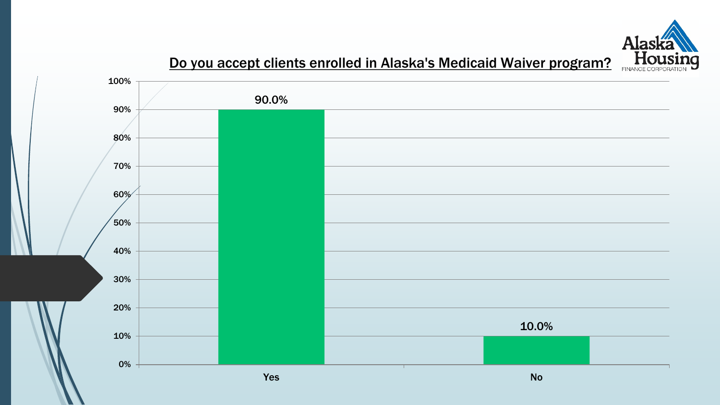

#### Do you accept clients enrolled in Alaska's Medicaid Waiver program?

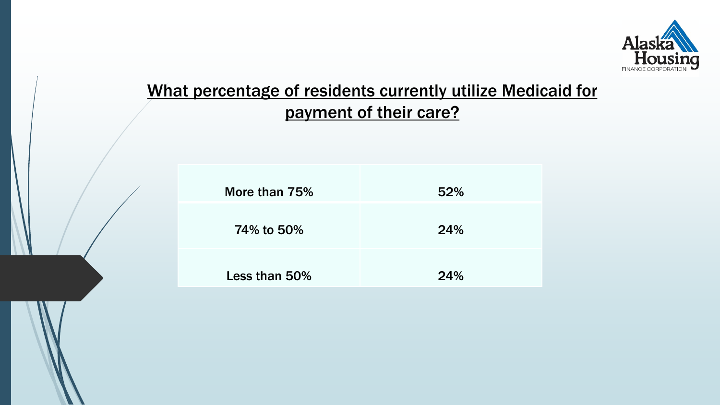

### What percentage of residents currently utilize Medicaid for payment of their care?

| More than 75% | 52% |
|---------------|-----|
|               |     |
| 74% to 50%    | 24% |
|               |     |
|               |     |
| Less than 50% | 24% |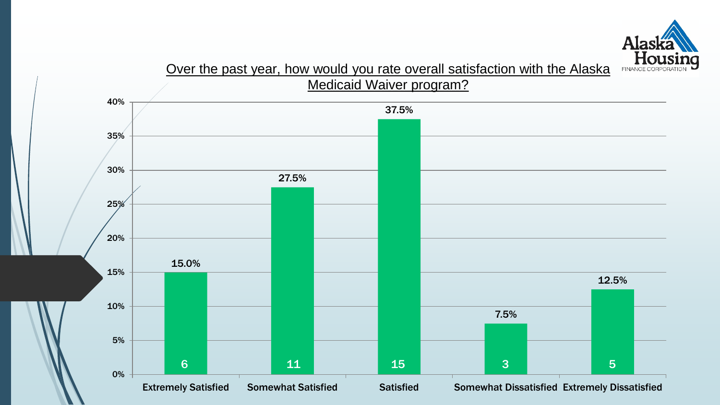

#### Over the past year, how would you rate overall satisfaction with the Alaska Medicaid Waiver program?

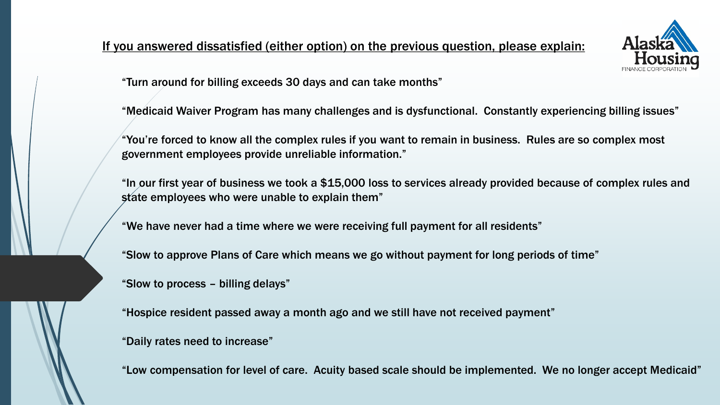#### If you answered dissatisfied (either option) on the previous question, please explain:



"Turn around for billing exceeds 30 days and can take months"

"Medicaid Waiver Program has many challenges and is dysfunctional. Constantly experiencing billing issues"

"You're forced to know all the complex rules if you want to remain in business. Rules are so complex most government employees provide unreliable information."

"In our first year of business we took a \$15,000 loss to services already provided because of complex rules and state employees who were unable to explain them"

"We have never had a time where we were receiving full payment for all residents"

"Slow to approve Plans of Care which means we go without payment for long periods of time"

"Slow to process – billing delays"

"Hospice resident passed away a month ago and we still have not received payment"

"Daily rates need to increase"

"Low compensation for level of care. Acuity based scale should be implemented. We no longer accept Medicaid"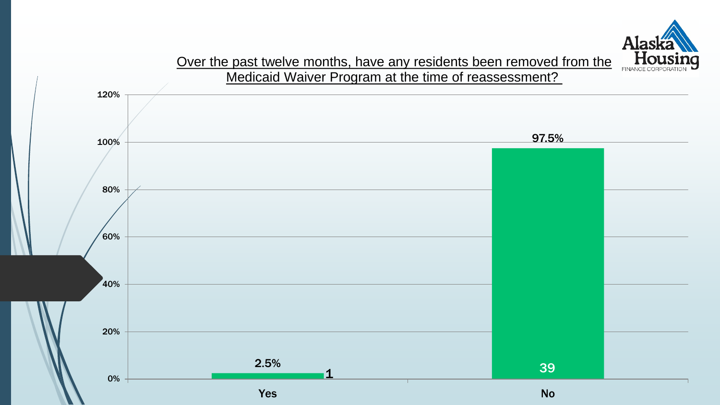

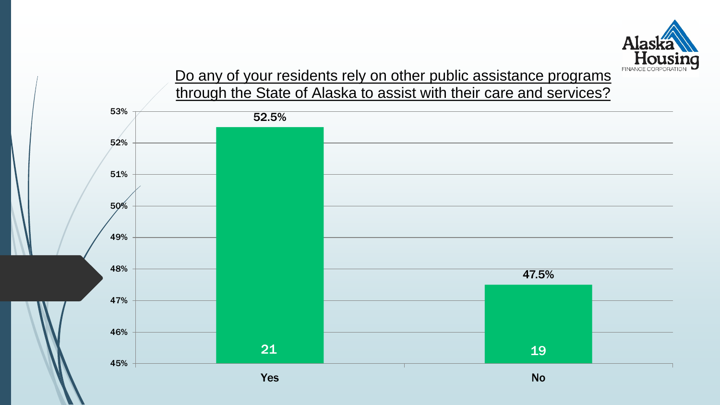

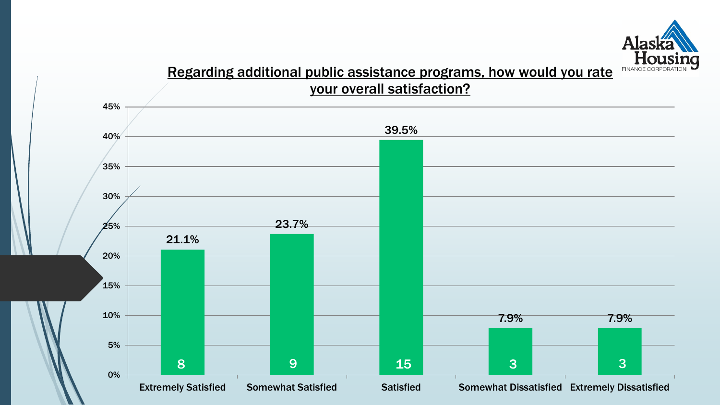

#### Regarding additional public assistance programs, how would you rate your overall satisfaction?

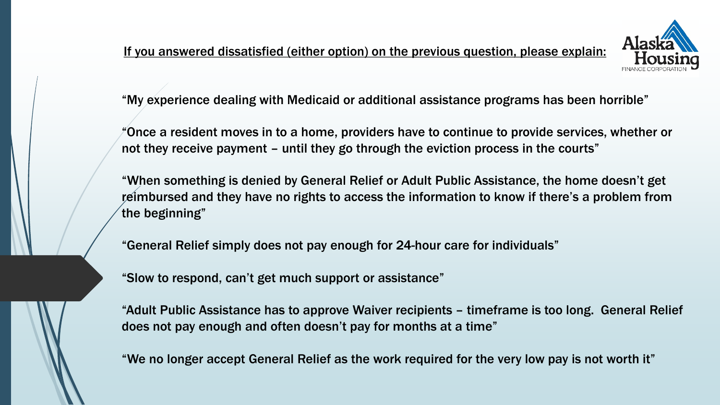

"My experience dealing with Medicaid or additional assistance programs has been horrible"

"Once a resident moves in to a home, providers have to continue to provide services, whether or not they receive payment – until they go through the eviction process in the courts"

"When something is denied by General Relief or Adult Public Assistance, the home doesn't get reimbursed and they have no rights to access the information to know if there's a problem from the beginning"

"General Relief simply does not pay enough for 24-hour care for individuals"

"Slow to respond, can't get much support or assistance"

"Adult Public Assistance has to approve Waiver recipients – timeframe is too long. General Relief does not pay enough and often doesn't pay for months at a time"

"We no longer accept General Relief as the work required for the very low pay is not worth it"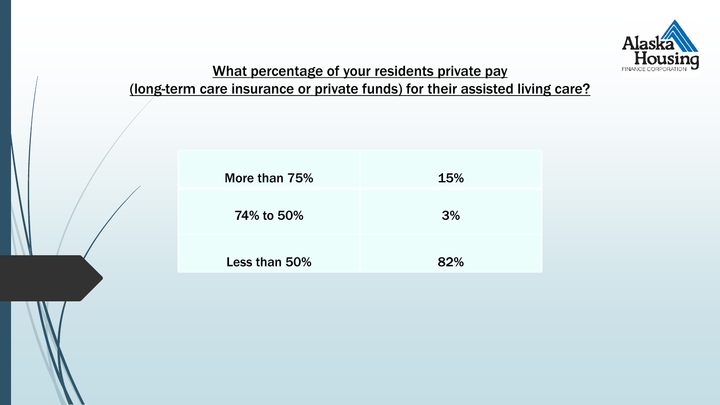

# What percentage of your residents private pay

#### (long-term care insurance or private funds) for their assisted living care?

| More than 75% | <b>15%</b> |
|---------------|------------|
| 74% to 50%    | 3%         |
| Less than 50% | 82%        |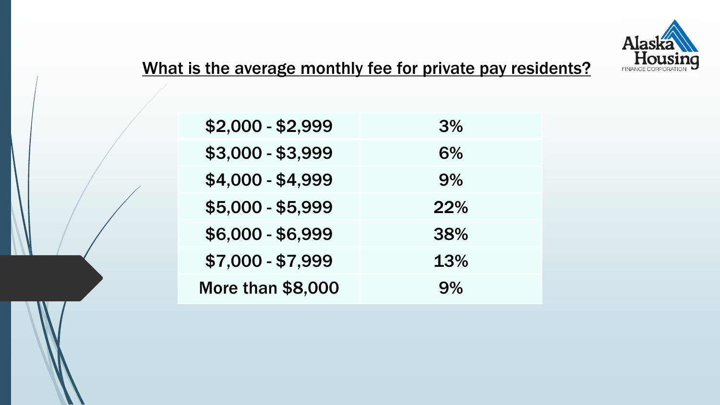

### What is the average monthly fee for private pay residents?

| \$2,000 - \$2,999        | 3%  |
|--------------------------|-----|
| \$3,000 - \$3,999        | 6%  |
| \$4,000 - \$4,999        | 9%  |
| \$5,000 - \$5,999        | 22% |
| \$6,000 - \$6,999        | 38% |
| \$7,000 - \$7,999        | 13% |
| <b>More than \$8,000</b> | 9%  |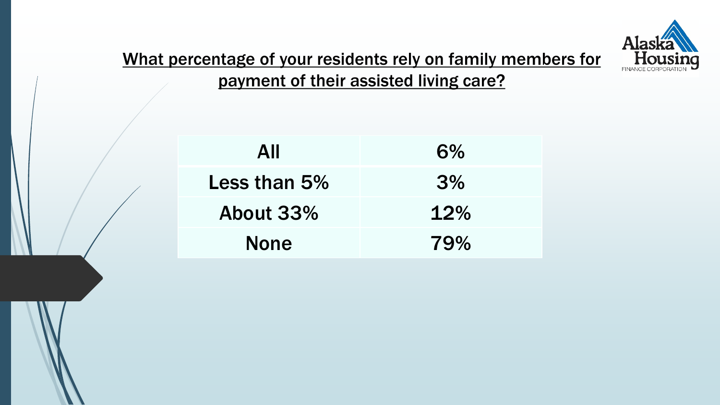

What percentage of your residents rely on family members for payment of their assisted living care?

| All          | 6%  |
|--------------|-----|
| Less than 5% | 3%  |
| About 33%    | 12% |
| <b>None</b>  | 79% |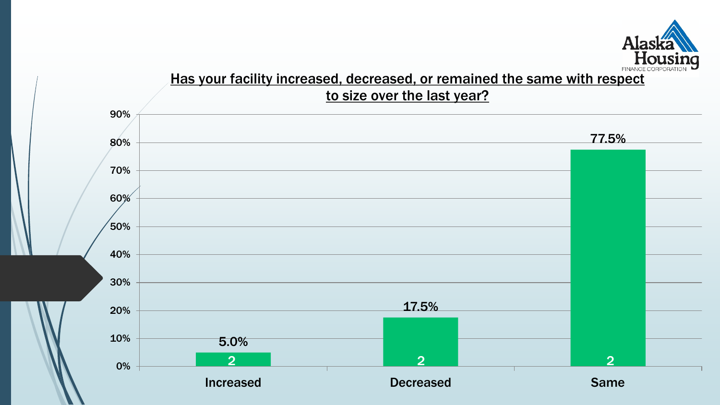

#### Has your facility increased, decreased, or remained the same with respect to size over the last year?

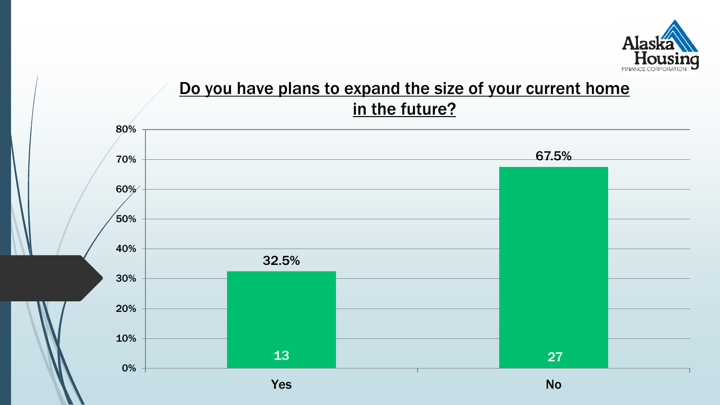

### Do you have plans to expand the size of your current home in the future?

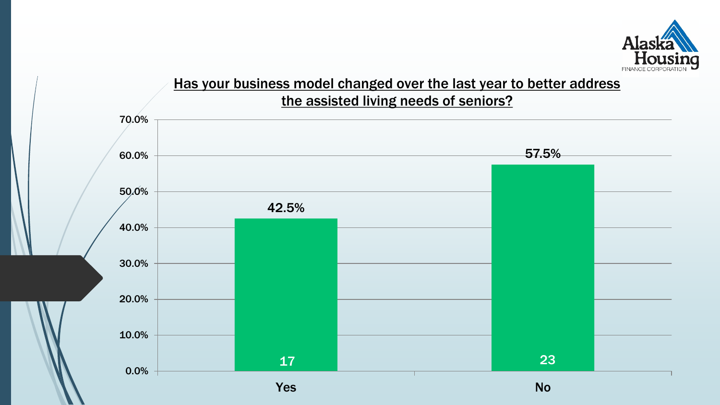

#### Has your business model changed over the last year to better address the assisted living needs of seniors?

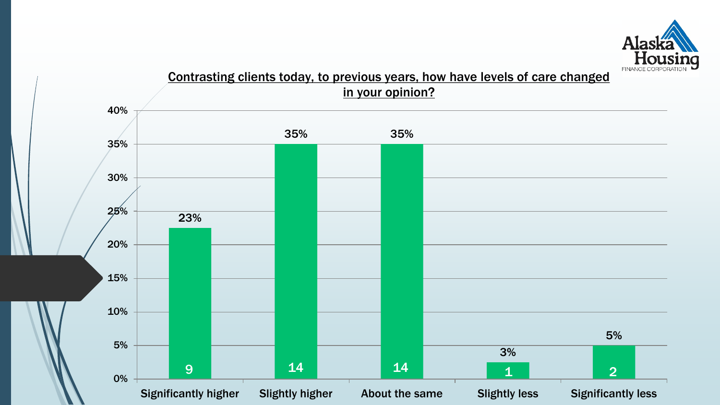

#### Contrasting clients today, to previous years, how have levels of care changed in your opinion?

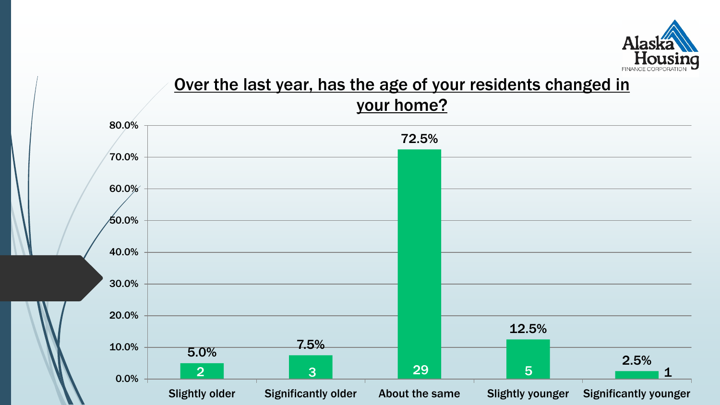

### Over the last year, has the age of your residents changed in your home?

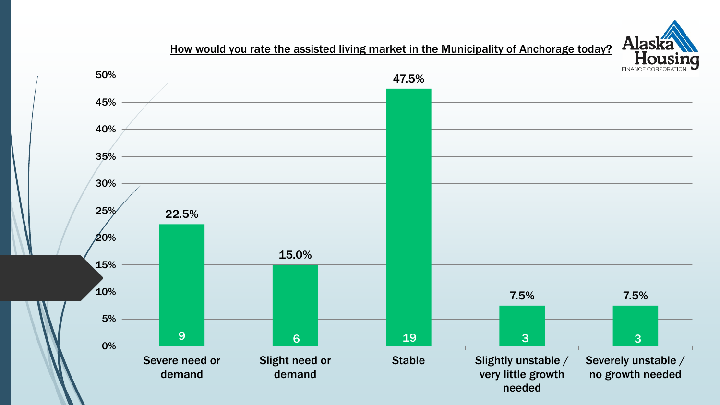

How would you rate the assisted living market in the Municipality of Anchorage today?

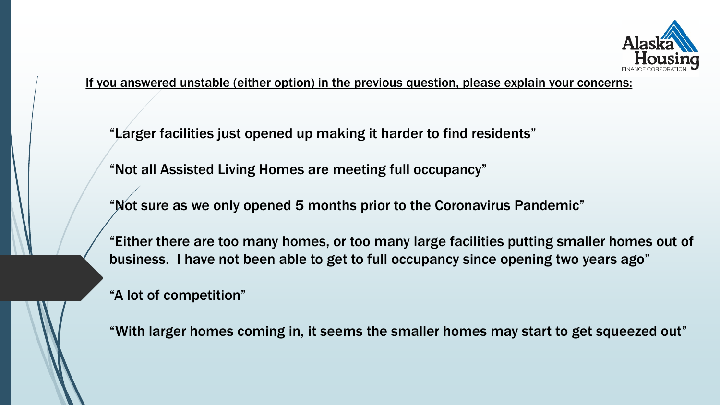

If you answered unstable (either option) in the previous question, please explain your concerns:

"Larger facilities just opened up making it harder to find residents"

"Not all Assisted Living Homes are meeting full occupancy"

"Not sure as we only opened 5 months prior to the Coronavirus Pandemic"

"Either there are too many homes, or too many large facilities putting smaller homes out of business. I have not been able to get to full occupancy since opening two years ago"

"A lot of competition"

"With larger homes coming in, it seems the smaller homes may start to get squeezed out"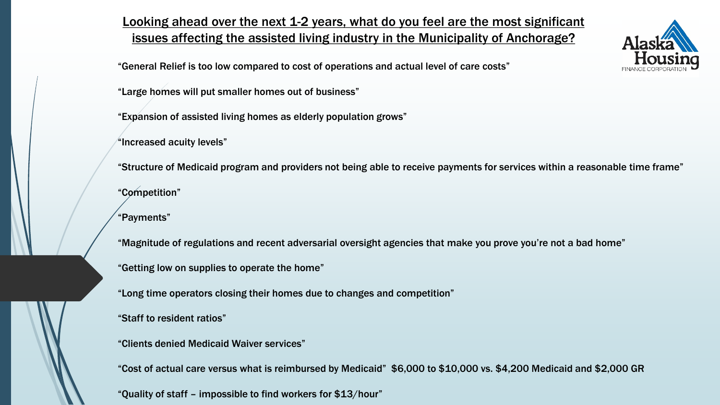#### Looking ahead over the next 1-2 years, what do you feel are the most significant issues affecting the assisted living industry in the Municipality of Anchorage?

"General Relief is too low compared to cost of operations and actual level of care costs"

"Large homes will put smaller homes out of business"

"Expansion of assisted living homes as elderly population grows"

"Increased acuity levels"

"Structure of Medicaid program and providers not being able to receive payments for services within a reasonable time frame"

"Competition"

"Payments"

"Magnitude of regulations and recent adversarial oversight agencies that make you prove you're not a bad home"

"Getting low on supplies to operate the home"

"Long time operators closing their homes due to changes and competition"

"Staff to resident ratios"

"Clients denied Medicaid Waiver services"

"Cost of actual care versus what is reimbursed by Medicaid" \$6,000 to \$10,000 vs. \$4,200 Medicaid and \$2,000 GR

"Quality of staff – impossible to find workers for \$13/hour"

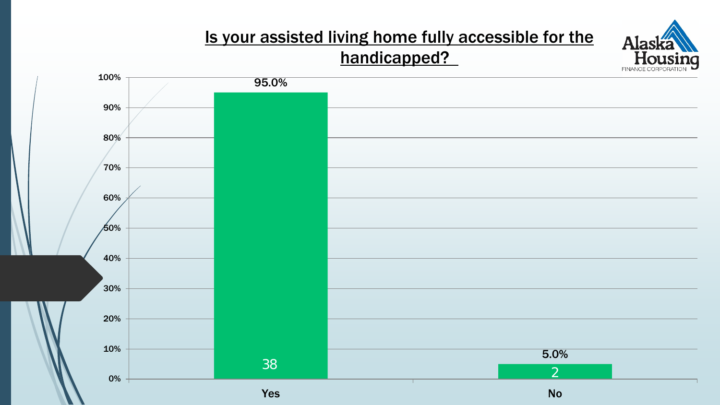### Is your assisted living home fully accessible for the handicapped?

Alaska Hou

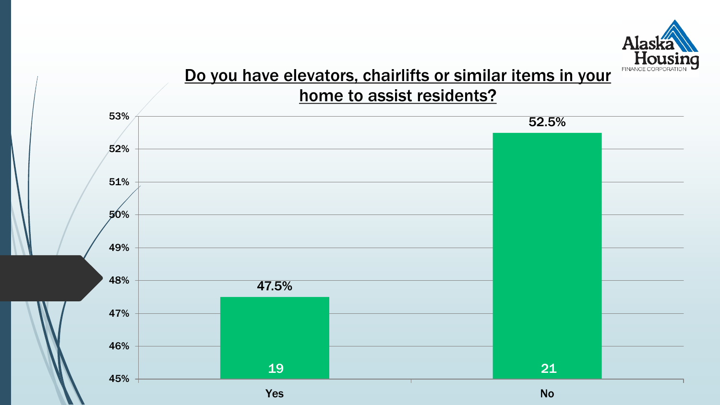

#### Do you have elevators, chairlifts or similar items in your home to assist residents?

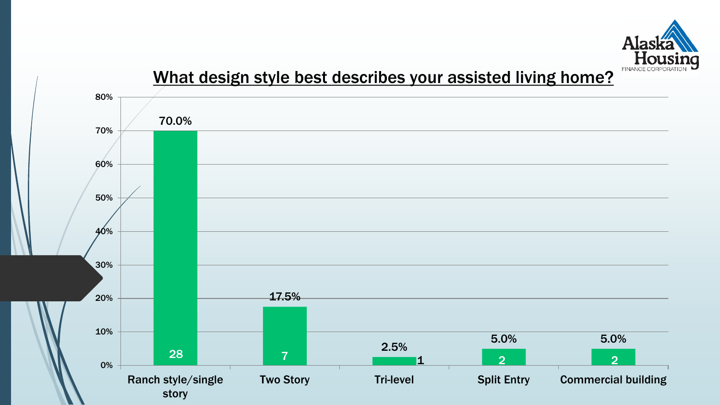

### What design style best describes your assisted living home?

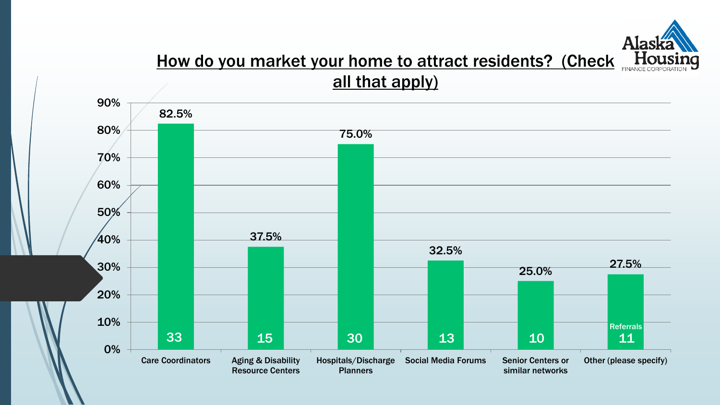

#### How do you market your home to attract residents? (Check all that apply)

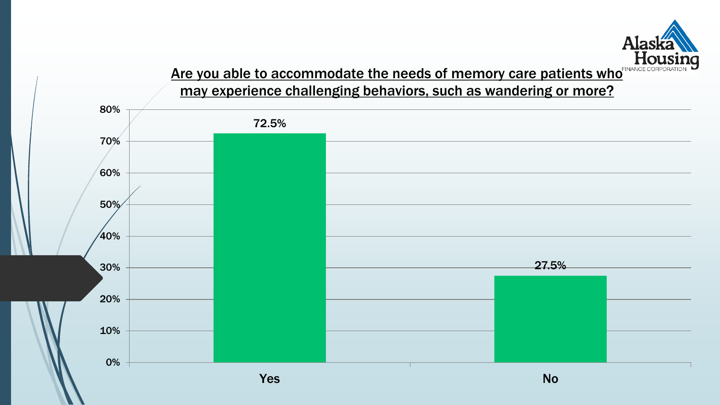

#### <u>Are you able to accommodate the needs of memory care patients who</u> may experience challenging behaviors, such as wandering or more?

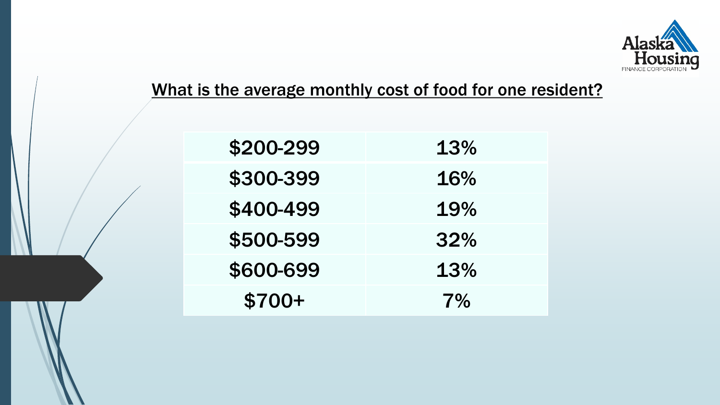

### What is the average monthly cost of food for one resident?

| \$200-299 | 13% |
|-----------|-----|
| \$300-399 | 16% |
| \$400-499 | 19% |
| \$500-599 | 32% |
| \$600-699 | 13% |
| $$700+$   | 7%  |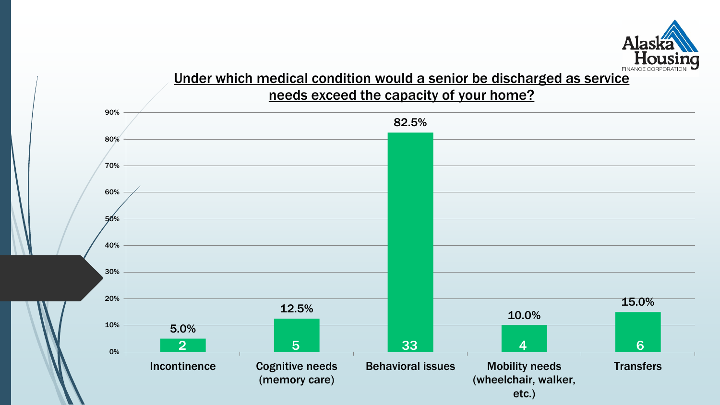

#### Under which medical condition would a senior be discharged as service needs exceed the capacity of your home?

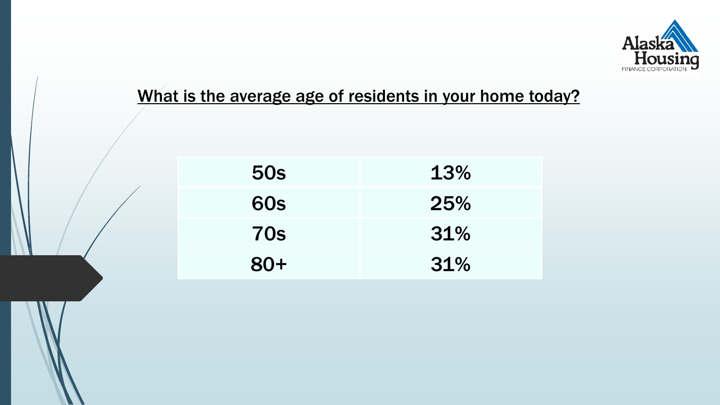

### What is the average age of residents in your home today?

| <b>50s</b> | 13% |
|------------|-----|
| <b>60s</b> | 25% |
| <b>70s</b> | 31% |
| $80+$      | 31% |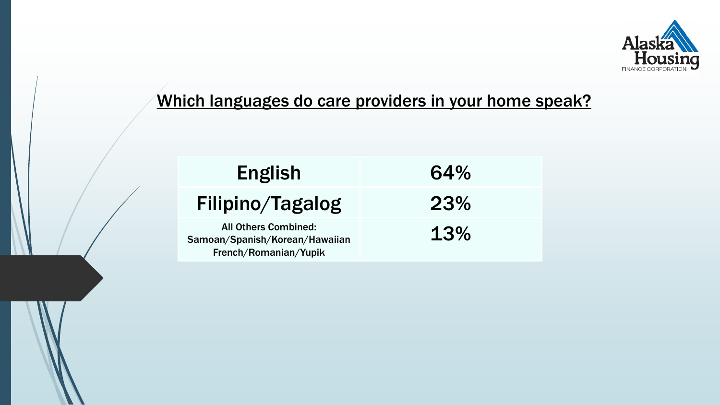

### Which languages do care providers in your home speak?

| English                                                       | 64% |
|---------------------------------------------------------------|-----|
| Filipino/Tagalog                                              | 23% |
| <b>All Others Combined:</b><br>Samoan/Spanish/Korean/Hawaiian | 13% |

French/Romanian/Yupik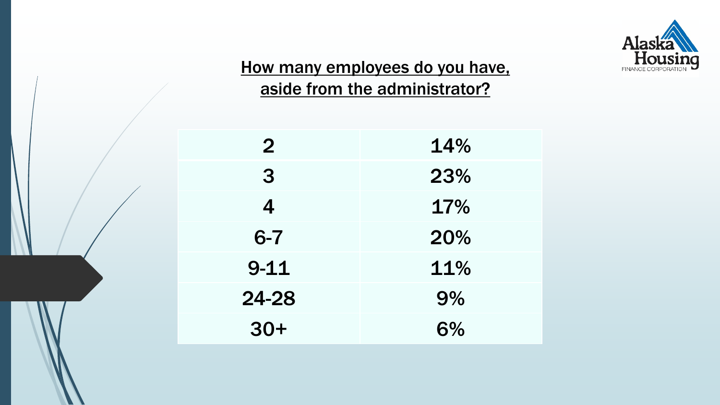

## How many employees do you have, aside from the administrator?

| $\mathbf{2}$ | 14% |
|--------------|-----|
| 3            | 23% |
| 4            | 17% |
| $6 - 7$      | 20% |
| $9 - 11$     | 11% |
| 24-28        | 9%  |
| $30+$        | 6%  |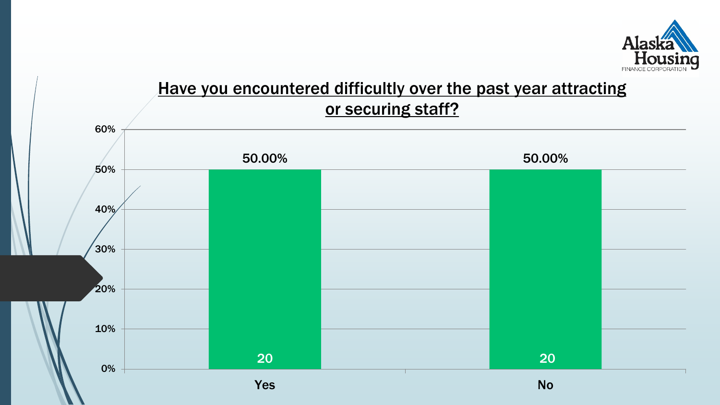

### Have you encountered difficultly over the past year attracting or securing staff?

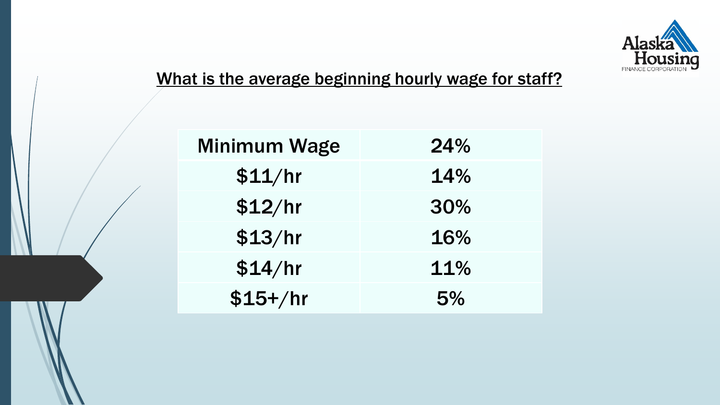

# What is the average beginning hourly wage for staff?

| Minimum Wage | 24% |
|--------------|-----|
| \$11/hr      | 14% |
| \$12/hr      | 30% |
| \$13/hr      | 16% |
| \$14/hr      | 11% |
| $$15+/hr$    | 5%  |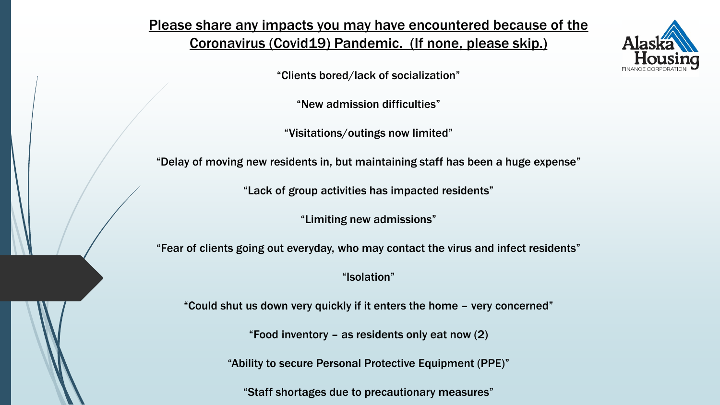#### Please share any impacts you may have encountered because of the Coronavirus (Covid19) Pandemic. (If none, please skip.)



"Clients bored/lack of socialization"

"New admission difficulties"

"Visitations/outings now limited"

"Delay of moving new residents in, but maintaining staff has been a huge expense"

"Lack of group activities has impacted residents"

"Limiting new admissions"

"Fear of clients going out everyday, who may contact the virus and infect residents"

"Isolation"

"Could shut us down very quickly if it enters the home – very concerned"

"Food inventory – as residents only eat now (2)

"Ability to secure Personal Protective Equipment (PPE)"

"Staff shortages due to precautionary measures"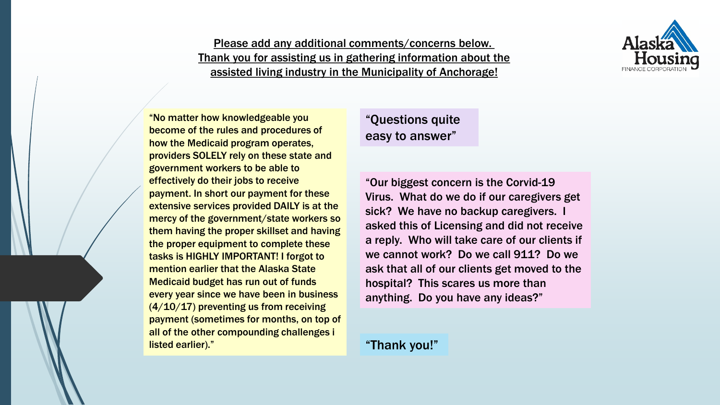

#### Please add any additional comments/concerns below. Thank you for assisting us in gathering information about the assisted living industry in the Municipality of Anchorage!

"No matter how knowledgeable you become of the rules and procedures of how the Medicaid program operates, providers SOLELY rely on these state and government workers to be able to effectively do their jobs to receive payment. In short our payment for these extensive services provided DAILY is at the mercy of the government/state workers so them having the proper skillset and having the proper equipment to complete these tasks is HIGHLY IMPORTANT! I forgot to mention earlier that the Alaska State Medicaid budget has run out of funds every year since we have been in business  $(4/10/17)$  preventing us from receiving payment (sometimes for months, on top of all of the other compounding challenges i listed earlier)."

#### "Questions quite easy to answer"

"Our biggest concern is the Corvid-19 Virus. What do we do if our caregivers get sick? We have no backup caregivers. I asked this of Licensing and did not receive a reply. Who will take care of our clients if we cannot work? Do we call 911? Do we ask that all of our clients get moved to the hospital? This scares us more than anything. Do you have any ideas?"

#### "Thank you!"